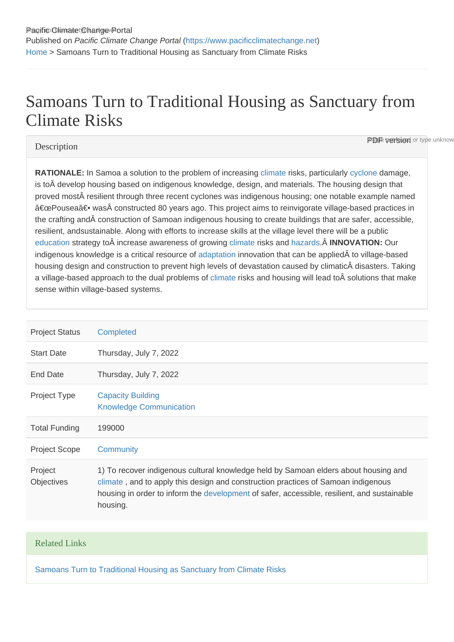## Samoans Turn to Traditional Housing as Sanctuary from Climate Risks

## **Description**

**PDF version** or type unknow

RATIONALE: In Samoa a solution to the problem of increasing [climate](https://www.pacificclimatechange.net/glossary/letter_c#Climate) risks, particularly [cyclone](https://www.pacificclimatechange.net/glossary/letter_c#Cyclone) damage, is to  $\hat{A}$  develop housing based on indigenous knowledge, design, and materials. The housing design that proved most resilient through three recent cyclones was indigenous housing; one notable example named "Pousea― was constructed 80 years ago. This project aims to reinvigorate village-based practices in the crafting and construction of Samoan indigenous housing to create buildings that are safer, accessible, resilient, andsustainable. Along with efforts to increase skills at the village level there will be a public [education](https://www.pacificclimatechange.net/glossary/letter_e#Education) strategy to increase awareness of growing [climate](https://www.pacificclimatechange.net/glossary/letter_c#Climate) risks and [hazards.](https://www.pacificclimatechange.net/glossary/letter_h#Hazards) A INNOVATION: Our indigenous knowledge is a critical resource of [adaptation](https://www.pacificclimatechange.net/glossary/letter_a#Adaptation) innovation that can be applied to village-based housing design and construction to prevent high levels of devastation caused by climatic disasters. Taking a village-based approach to the dual problems of [climate](https://www.pacificclimatechange.net/glossary/letter_c#Climate) risks and housing will lead to solutions that make sense within village-based systems.

| <b>Project Status</b>        | Completed                                                                                                                                                                                                                                                                           |
|------------------------------|-------------------------------------------------------------------------------------------------------------------------------------------------------------------------------------------------------------------------------------------------------------------------------------|
| <b>Start Date</b>            | Thursday, July 7, 2022                                                                                                                                                                                                                                                              |
| End Date                     | Thursday, July 7, 2022                                                                                                                                                                                                                                                              |
| <b>Project Type</b>          | <b>Capacity Building</b><br><b>Knowledge Communication</b>                                                                                                                                                                                                                          |
| <b>Total Funding</b>         | 199000                                                                                                                                                                                                                                                                              |
| <b>Project Scope</b>         | Community                                                                                                                                                                                                                                                                           |
| Project<br><b>Objectives</b> | 1) To recover indigenous cultural knowledge held by Samoan elders about housing and<br>climate, and to apply this design and construction practices of Samoan indigenous<br>housing in order to inform the development of safer, accessible, resilient, and sustainable<br>housing. |

## Related Links

[Samoans Turn to Traditional Housing as Sanctuary from Climate Risks](http://siteresources.worldbank.org/DEVMARKETPLACE/Resources/205097-1234488846479/1641.pdf)